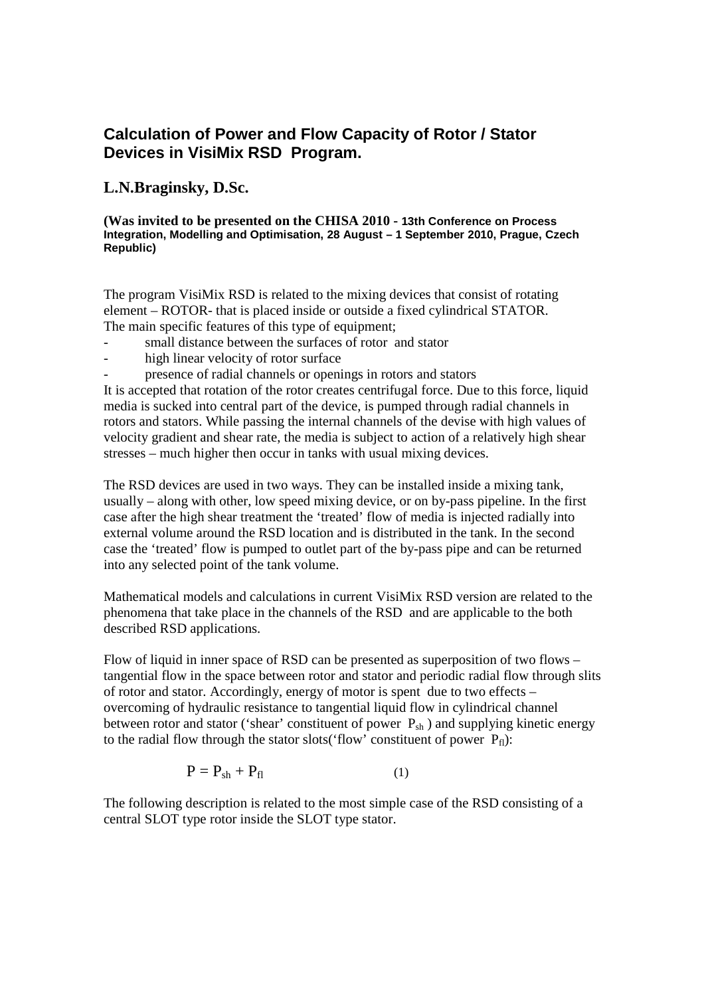# **Calculation of Power and Flow Capacity of Rotor / Stator Devices in VisiMix RSD Program.**

## **L.N.Braginsky, D.Sc.**

### **(Was invited to be presented on the CHISA 2010 - 13th Conference on Process Integration, Modelling and Optimisation, 28 August – 1 September 2010, Prague, Czech Republic)**

The program VisiMix RSD is related to the mixing devices that consist of rotating element – ROTOR- that is placed inside or outside a fixed cylindrical STATOR. The main specific features of this type of equipment;

- small distance between the surfaces of rotor and stator
- high linear velocity of rotor surface
- presence of radial channels or openings in rotors and stators

It is accepted that rotation of the rotor creates centrifugal force. Due to this force, liquid media is sucked into central part of the device, is pumped through radial channels in rotors and stators. While passing the internal channels of the devise with high values of velocity gradient and shear rate, the media is subject to action of a relatively high shear stresses – much higher then occur in tanks with usual mixing devices.

The RSD devices are used in two ways. They can be installed inside a mixing tank, usually – along with other, low speed mixing device, or on by-pass pipeline. In the first case after the high shear treatment the 'treated' flow of media is injected radially into external volume around the RSD location and is distributed in the tank. In the second case the 'treated' flow is pumped to outlet part of the by-pass pipe and can be returned into any selected point of the tank volume.

Mathematical models and calculations in current VisiMix RSD version are related to the phenomena that take place in the channels of the RSD and are applicable to the both described RSD applications.

Flow of liquid in inner space of RSD can be presented as superposition of two flows  $$ tangential flow in the space between rotor and stator and periodic radial flow through slits of rotor and stator. Accordingly, energy of motor is spent due to two effects – overcoming of hydraulic resistance to tangential liquid flow in cylindrical channel between rotor and stator ('shear' constituent of power  $P_{sh}$ ) and supplying kinetic energy to the radial flow through the stator slots('flow' constituent of power  $P_{fl}$ ):

$$
P = P_{sh} + P_{fl} \tag{1}
$$

The following description is related to the most simple case of the RSD consisting of a central SLOT type rotor inside the SLOT type stator.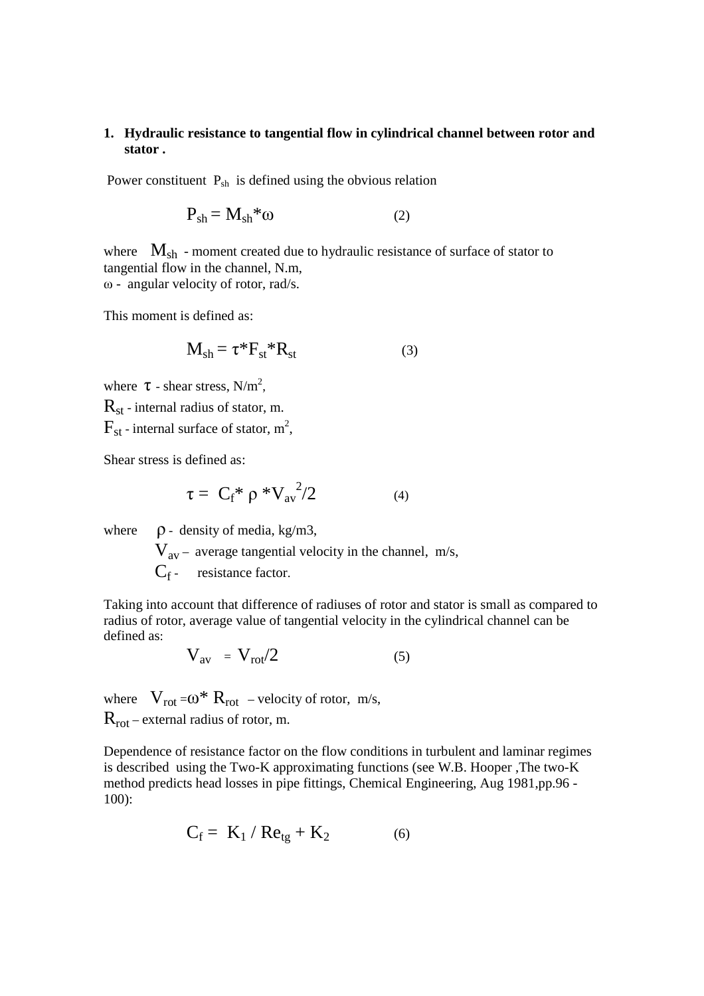## **1. Hydraulic resistance to tangential flow in cylindrical channel between rotor and stator .**

Power constituent  $P_{sh}$  is defined using the obvious relation

$$
P_{sh} = M_{sh} * \omega
$$
 (2)

where  $M_{sh}$  - moment created due to hydraulic resistance of surface of stator to tangential flow in the channel, N.m, ω - angular velocity of rotor, rad/s.

This moment is defined as:

$$
\mathbf{M}_{sh} = \tau^* \mathbf{F}_{st}^* \mathbf{R}_{st} \tag{3}
$$

where  $\tau$  - shear stress, N/m<sup>2</sup>,

 $R_{st}$  - internal radius of stator, m.

 $\mathrm{F_{st}}$  - internal surface of stator,  $\mathrm{m}^{2}$ ,

Shear stress is defined as:

$$
\tau = C_f^* \rho^* V_{\text{av}}^2 / 2 \tag{4}
$$

where  $\rho$  - density of media, kg/m3,

 $V_{av}$  – average tangential velocity in the channel, m/s,  $C_f$ - resistance factor.

Taking into account that difference of radiuses of rotor and stator is small as compared to radius of rotor, average value of tangential velocity in the cylindrical channel can be defined as:

$$
V_{av} = V_{rot}/2 \tag{5}
$$

where  $V_{rot} = \omega^* R_{rot}$  – velocity of rotor, m/s,  $R_{rot}$  – external radius of rotor, m.

Dependence of resistance factor on the flow conditions in turbulent and laminar regimes is described using the Two-K approximating functions (see W.B. Hooper ,The two-K method predicts head losses in pipe fittings, Chemical Engineering, Aug 1981,pp.96 - 100):

$$
C_f = K_1 / Re_{tg} + K_2 \tag{6}
$$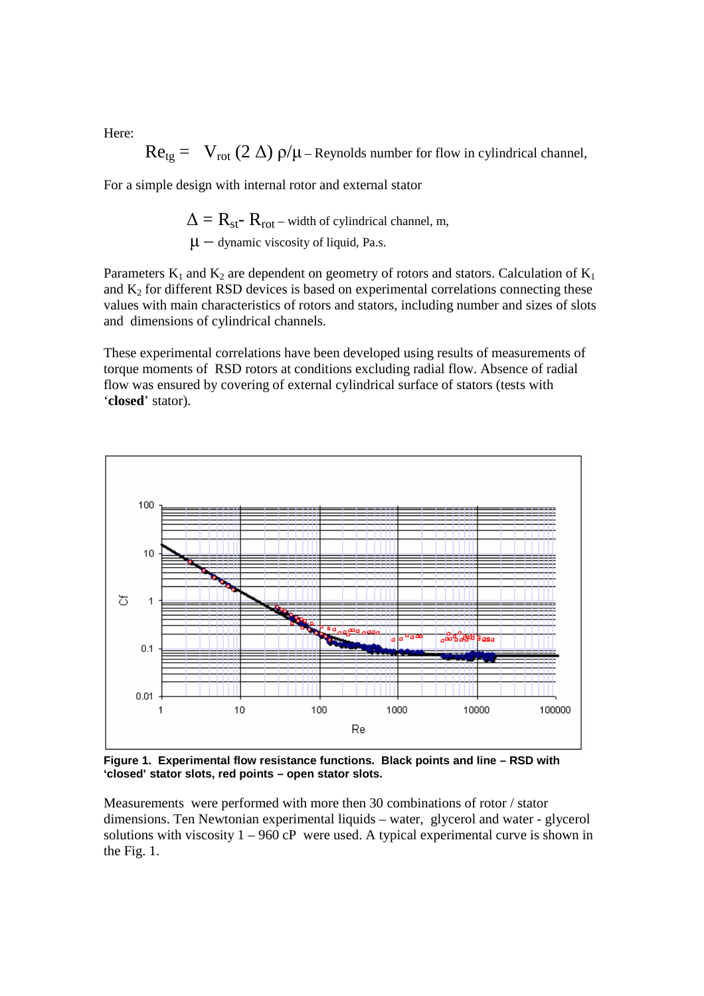Here:

$$
Re_{tg} = V_{rot} (2 \Delta) \rho / \mu - \text{Reynolds number for flow in cylindrical channel},
$$

For a simple design with internal rotor and external stator

$$
\Delta = R_{st} - R_{rot} - \text{width of cylindrical channel, m,}
$$
  

$$
\mu - \text{dynamic viscosity of liquid, Pa.s.}
$$

Parameters  $K_1$  and  $K_2$  are dependent on geometry of rotors and stators. Calculation of  $K_1$ and  $K_2$  for different RSD devices is based on experimental correlations connecting these values with main characteristics of rotors and stators, including number and sizes of slots and dimensions of cylindrical channels.

These experimental correlations have been developed using results of measurements of torque moments of RSD rotors at conditions excluding radial flow. Absence of radial flow was ensured by covering of external cylindrical surface of stators (tests with '**closed**' stator).



**Figure 1. Experimental flow resistance functions. Black points and line – RSD with 'closed' stator slots, red points – open stator slots.** 

Measurements were performed with more then 30 combinations of rotor / stator dimensions. Ten Newtonian experimental liquids – water, glycerol and water - glycerol solutions with viscosity  $1 - 960$  cP were used. A typical experimental curve is shown in the Fig. 1.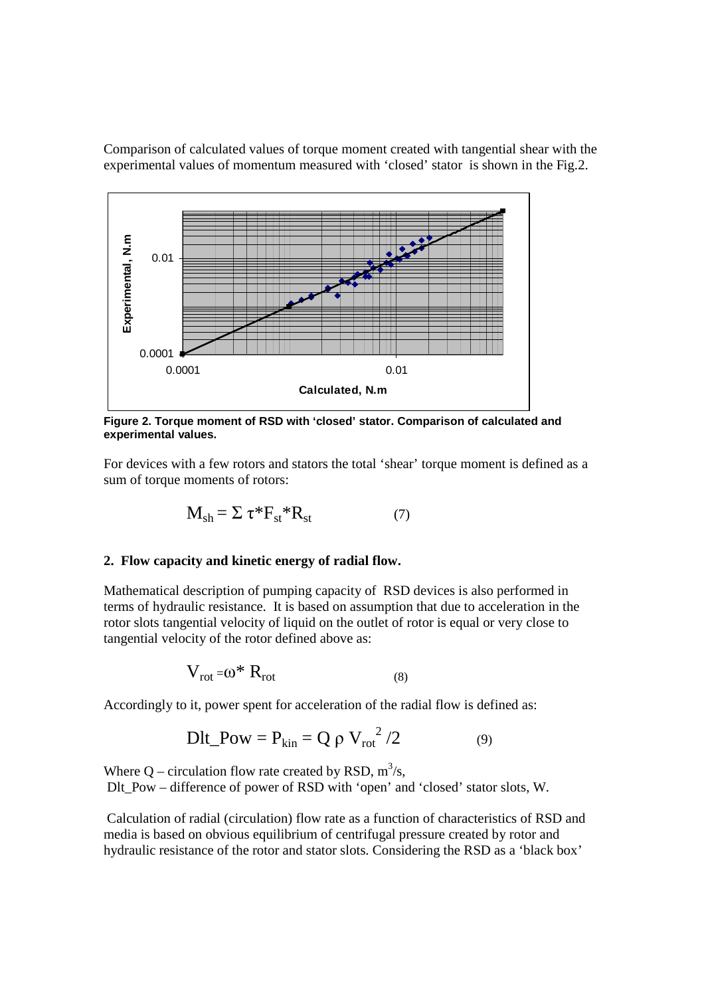Comparison of calculated values of torque moment created with tangential shear with the experimental values of momentum measured with 'closed' stator is shown in the Fig.2.



**Figure 2. Torque moment of RSD with 'closed' stator. Comparison of calculated and experimental values.** 

For devices with a few rotors and stators the total 'shear' torque moment is defined as a sum of torque moments of rotors:

$$
\mathbf{M}_{sh} = \Sigma \ \tau^* \mathbf{F}_{st}^* \mathbf{R}_{st} \tag{7}
$$

## **2. Flow capacity and kinetic energy of radial flow.**

Mathematical description of pumping capacity of RSD devices is also performed in terms of hydraulic resistance. It is based on assumption that due to acceleration in the rotor slots tangential velocity of liquid on the outlet of rotor is equal or very close to tangential velocity of the rotor defined above as:

$$
V_{rot} = \omega^* R_{rot}
$$
 (8)

Accordingly to it, power spent for acceleration of the radial flow is defined as:

$$
Dlt\_Pow = P_{kin} = Q \rho V_{rot}^2 / 2
$$
 (9)

Where Q – circulation flow rate created by RSD,  $m^3/s$ , Dlt Pow – difference of power of RSD with 'open' and 'closed' stator slots, W.

 Calculation of radial (circulation) flow rate as a function of characteristics of RSD and media is based on obvious equilibrium of centrifugal pressure created by rotor and hydraulic resistance of the rotor and stator slots. Considering the RSD as a 'black box'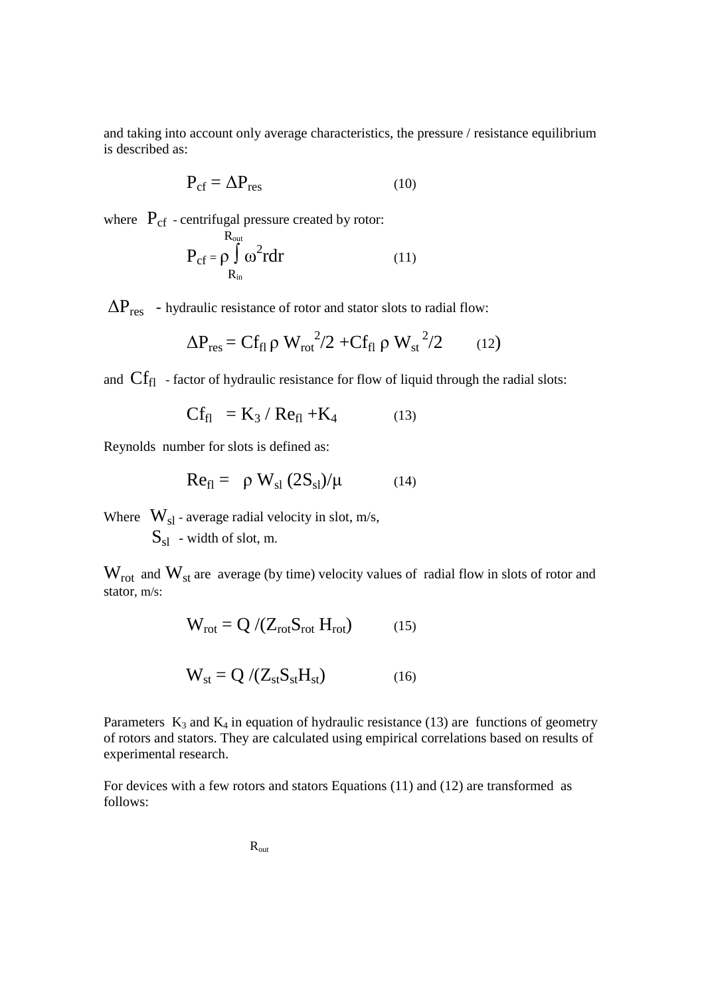and taking into account only average characteristics, the pressure / resistance equilibrium is described as:

$$
P_{cf} = \Delta P_{res}
$$
 (10)

where  $P_{cf}$  - centrifugal pressure created by rotor:

$$
P_{cf} = \rho \int_{R_{in}}^{R_{out}} \omega^2 r dr \qquad (11)
$$

 $\Delta P_{res}$  - hydraulic resistance of rotor and stator slots to radial flow:

$$
\Delta P_{\rm res} = C f_{\rm fl} \rho W_{\rm rot}^2 / 2 + C f_{\rm fl} \rho W_{\rm st}^2 / 2 \qquad (12)
$$

and  $\text{Cf}_{\text{fl}}$  - factor of hydraulic resistance for flow of liquid through the radial slots:

$$
Cf_{f1} = K_3 / Re_{f1} + K_4 \tag{13}
$$

Reynolds number for slots is defined as:

$$
Re_{fl} = \rho W_{sl} (2S_{sl})/\mu \qquad (14)
$$

Where  $W_{sl}$  - average radial velocity in slot, m/s,

 $S_{sl}$  - width of slot, m.

 $W_{rot}$  and  $W_{st}$  are average (by time) velocity values of radial flow in slots of rotor and stator, m/s:

$$
W_{rot} = Q / (Z_{rot} S_{rot} H_{rot})
$$
 (15)

$$
W_{st} = Q / (Z_{st} S_{st} H_{st})
$$
 (16)

Parameters  $K_3$  and  $K_4$  in equation of hydraulic resistance (13) are functions of geometry of rotors and stators. They are calculated using empirical correlations based on results of experimental research.

For devices with a few rotors and stators Equations (11) and (12) are transformed as follows:

$$
\mathbf{R}_\mathrm{out}
$$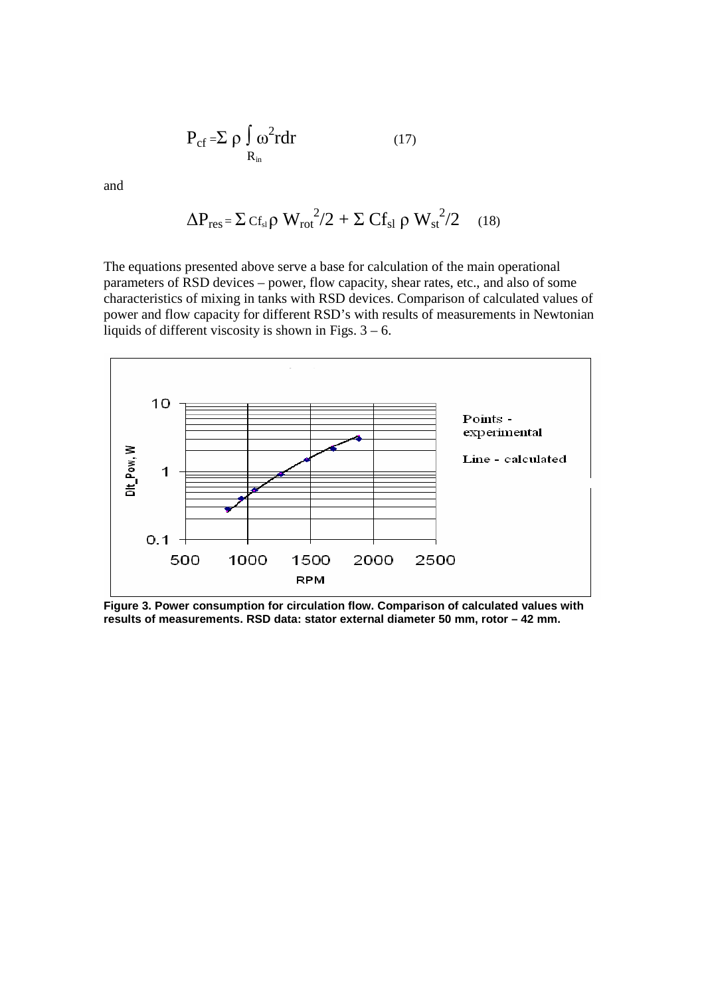$$
P_{cf} = \sum \rho \int_{R_{in}} \omega^2 r dr \qquad (17)
$$

and

$$
\Delta P_{res} = \Sigma c_{fs} \rho W_{rot}^2 / 2 + \Sigma C_{fs} \rho W_{st}^2 / 2 \quad (18)
$$

The equations presented above serve a base for calculation of the main operational parameters of RSD devices – power, flow capacity, shear rates, etc., and also of some characteristics of mixing in tanks with RSD devices. Comparison of calculated values of power and flow capacity for different RSD's with results of measurements in Newtonian liquids of different viscosity is shown in Figs.  $3 - 6$ .



**Figure 3. Power consumption for circulation flow. Comparison of calculated values with results of measurements. RSD data: stator external diameter 50 mm, rotor – 42 mm.**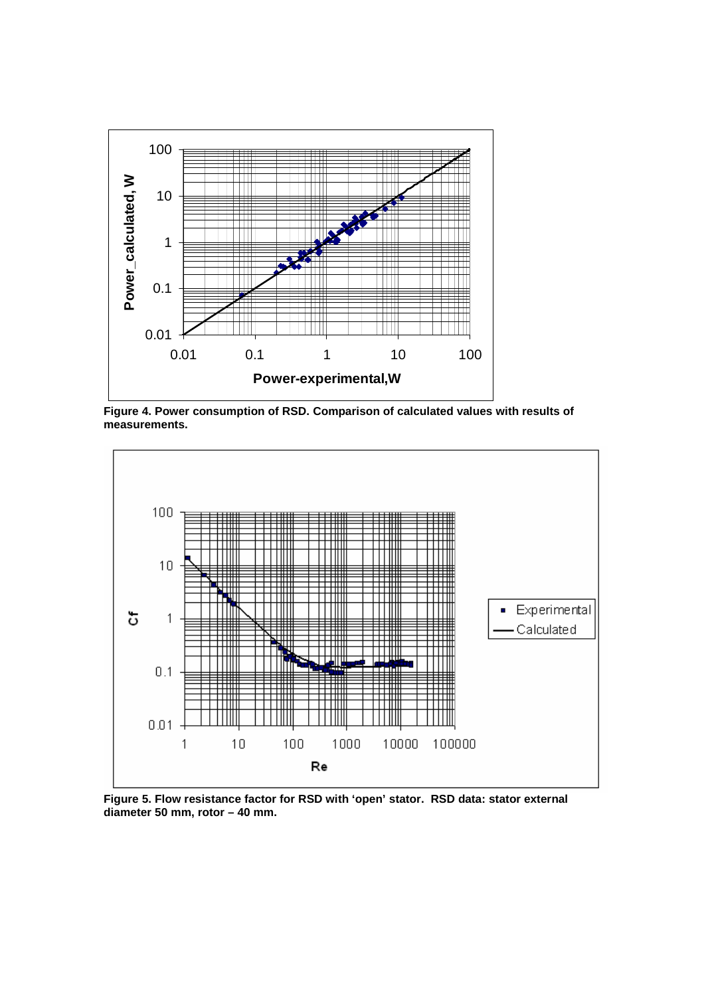

**Figure 4. Power consumption of RSD. Comparison of calculated values with results of measurements.** 



**Figure 5. Flow resistance factor for RSD with 'open' stator. RSD data: stator external diameter 50 mm, rotor – 40 mm.**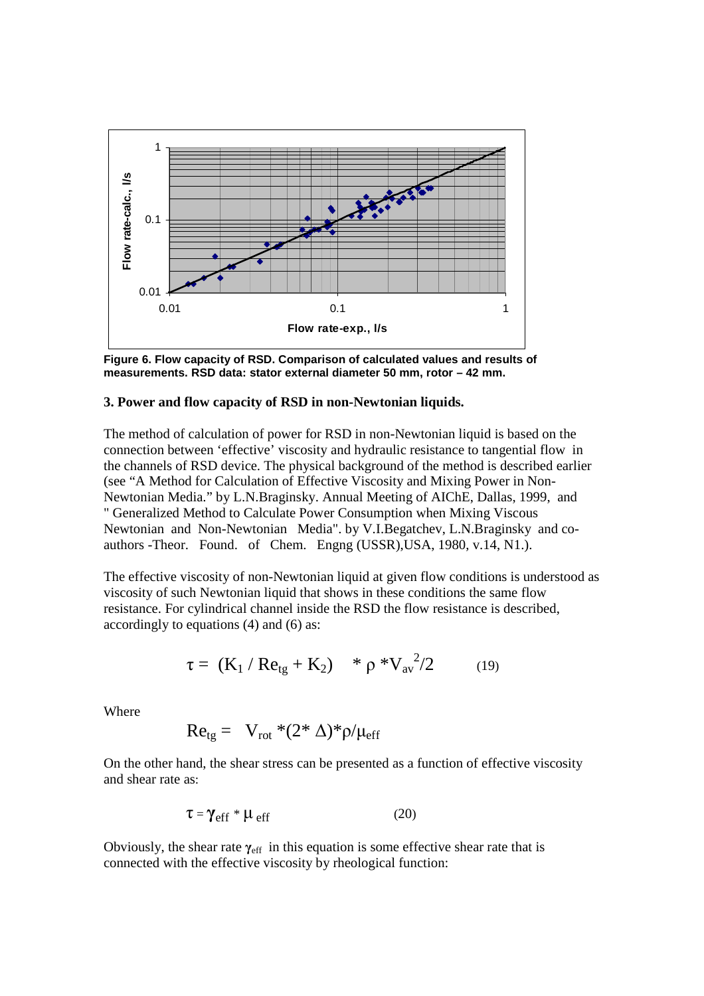

**Figure 6. Flow capacity of RSD. Comparison of calculated values and results of measurements. RSD data: stator external diameter 50 mm, rotor – 42 mm.** 

#### **3. Power and flow capacity of RSD in non-Newtonian liquids.**

The method of calculation of power for RSD in non-Newtonian liquid is based on the connection between 'effective' viscosity and hydraulic resistance to tangential flow in the channels of RSD device. The physical background of the method is described earlier (see "A Method for Calculation of Effective Viscosity and Mixing Power in Non-Newtonian Media." by L.N.Braginsky. Annual Meeting of AIChE, Dallas, 1999, and " Generalized Method to Calculate Power Consumption when Mixing Viscous Newtonian and Non-Newtonian Media". by V.I.Begatchev, L.N.Braginsky and coauthors -Theor. Found. of Chem. Engng (USSR),USA, 1980, v.14, N1.).

The effective viscosity of non-Newtonian liquid at given flow conditions is understood as viscosity of such Newtonian liquid that shows in these conditions the same flow resistance. For cylindrical channel inside the RSD the flow resistance is described, accordingly to equations (4) and (6) as:

$$
\tau = (K_1 / Re_{tg} + K_2) * \rho * V_{av}^2 / 2 \qquad (19)
$$

Where

$$
Re_{tg} = V_{rot} * (2 * \Delta) * \rho / \mu_{eff}
$$

On the other hand, the shear stress can be presented as a function of effective viscosity and shear rate as:

$$
\tau = \gamma_{eff} * \mu_{eff} \tag{20}
$$

Obviously, the shear rate  $\gamma_{\text{eff}}$  in this equation is some effective shear rate that is connected with the effective viscosity by rheological function: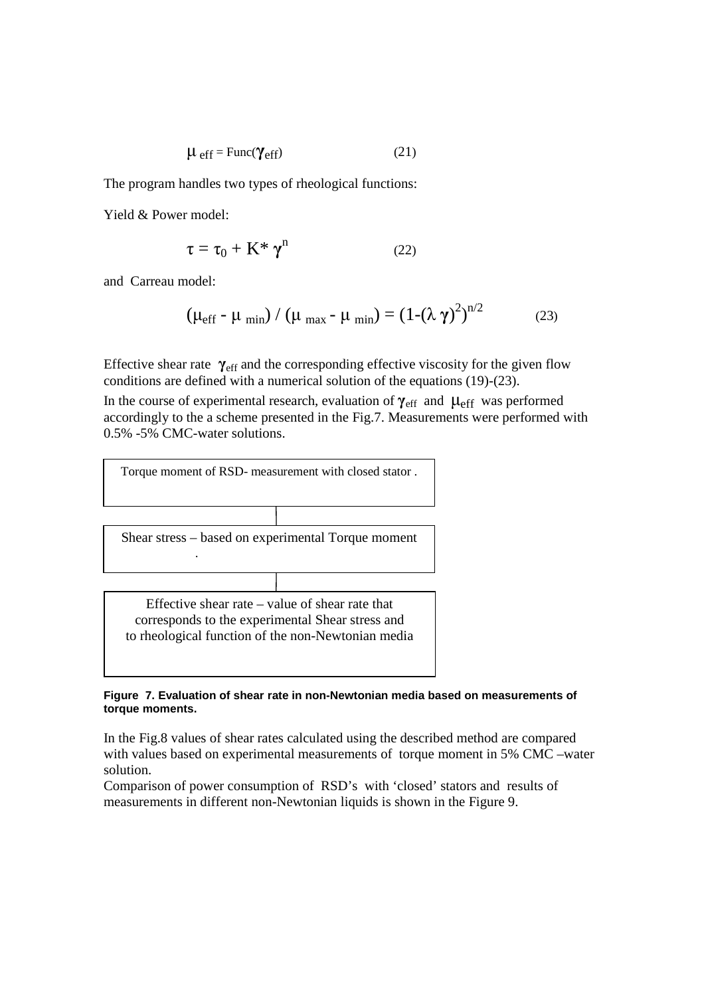$$
\mu_{\text{eff}} = \text{Func}(\gamma_{\text{eff}}) \tag{21}
$$

The program handles two types of rheological functions:

Yield & Power model:

$$
\tau = \tau_0 + \mathbf{K}^* \, \gamma^n \tag{22}
$$

and Carreau model:

$$
(\mu_{\rm eff} - \mu_{\rm min}) / (\mu_{\rm max} - \mu_{\rm min}) = (1 - (\lambda \gamma)^2)^{n/2}
$$
 (23)

Effective shear rate **γ**eff and the corresponding effective viscosity for the given flow conditions are defined with a numerical solution of the equations (19)-(23).

In the course of experimental research, evaluation of  $\gamma_{\text{eff}}$  and  $\mu_{\text{eff}}$  was performed accordingly to the a scheme presented in the Fig.7. Measurements were performed with 0.5% -5% CMC-water solutions.



#### **Figure 7. Evaluation of shear rate in non-Newtonian media based on measurements of torque moments.**

In the Fig.8 values of shear rates calculated using the described method are compared with values based on experimental measurements of torque moment in 5% CMC –water solution.

Comparison of power consumption of RSD's with 'closed' stators and results of measurements in different non-Newtonian liquids is shown in the Figure 9.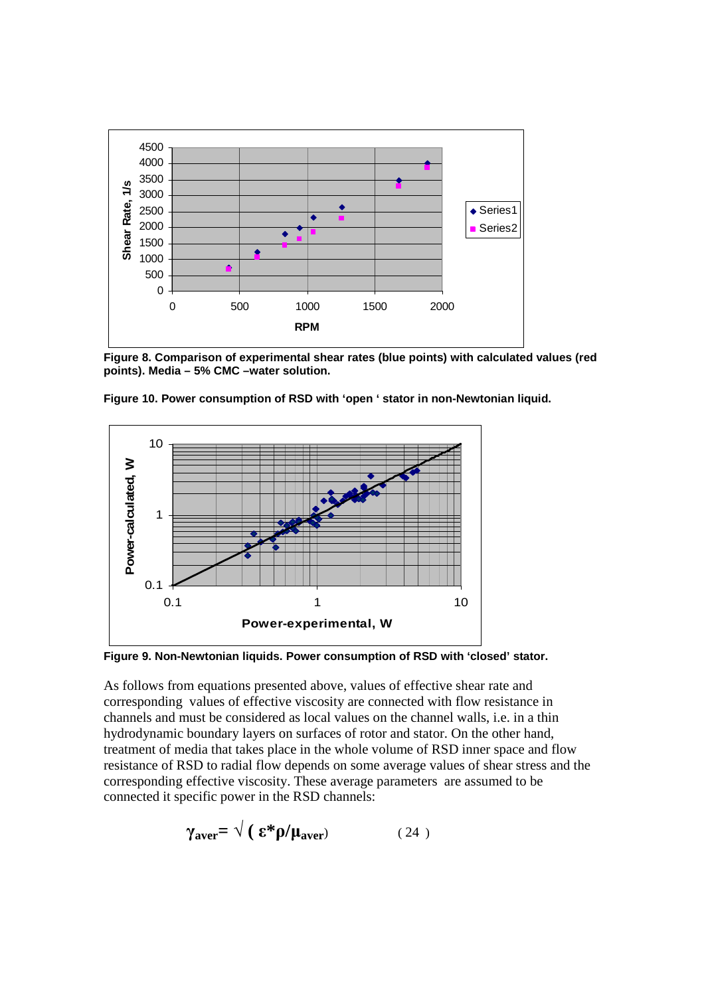

**Figure 8. Comparison of experimental shear rates (blue points) with calculated values (red points). Media – 5% CMC –water solution.** 



**Figure 10. Power consumption of RSD with 'open ' stator in non-Newtonian liquid.** 

**Figure 9. Non-Newtonian liquids. Power consumption of RSD with 'closed' stator.** 

As follows from equations presented above, values of effective shear rate and corresponding values of effective viscosity are connected with flow resistance in channels and must be considered as local values on the channel walls, i.e. in a thin hydrodynamic boundary layers on surfaces of rotor and stator. On the other hand, treatment of media that takes place in the whole volume of RSD inner space and flow resistance of RSD to radial flow depends on some average values of shear stress and the corresponding effective viscosity. These average parameters are assumed to be connected it specific power in the RSD channels:

$$
\gamma_{\text{aver}} = \sqrt{(\mathbf{\varepsilon}^* \mathbf{\rho}/\mathbf{\mu}_{\text{aver}})} \tag{24}
$$